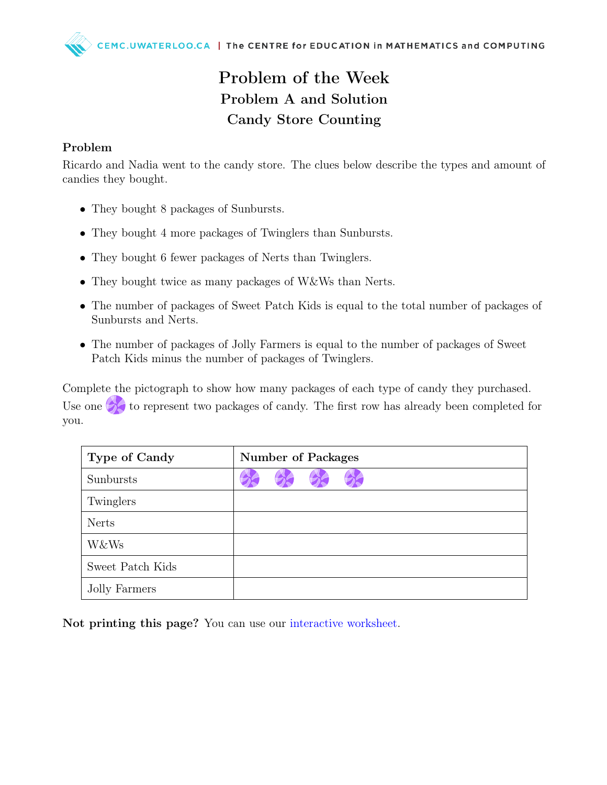## Problem of the Week Problem A and Solution Candy Store Counting

## Problem

Ricardo and Nadia went to the candy store. The clues below describe the types and amount of candies they bought.

- They bought 8 packages of Sunbursts.
- They bought 4 more packages of Twinglers than Sunbursts.
- They bought 6 fewer packages of Nerts than Twinglers.
- They bought twice as many packages of W&Ws than Nerts.
- The number of packages of Sweet Patch Kids is equal to the total number of packages of Sunbursts and Nerts.
- The number of packages of Jolly Farmers is equal to the number of packages of Sweet Patch Kids minus the number of packages of Twinglers.

Complete the pictograph to show how many packages of each type of candy they purchased. Use one  $\triangleright$  to represent two packages of candy. The first row has already been completed for you.

| <b>Type of Candy</b> | <b>Number of Packages</b> |  |  |  |  |  |
|----------------------|---------------------------|--|--|--|--|--|
| Sunbursts            |                           |  |  |  |  |  |
| Twinglers            |                           |  |  |  |  |  |
| <b>Nerts</b>         |                           |  |  |  |  |  |
| <b>W&amp;Ws</b>      |                           |  |  |  |  |  |
| Sweet Patch Kids     |                           |  |  |  |  |  |
| Jolly Farmers        |                           |  |  |  |  |  |

Not printing this page? You can use our [interactive worksheet.](https://www.geogebra.org/m/vvjnjert)